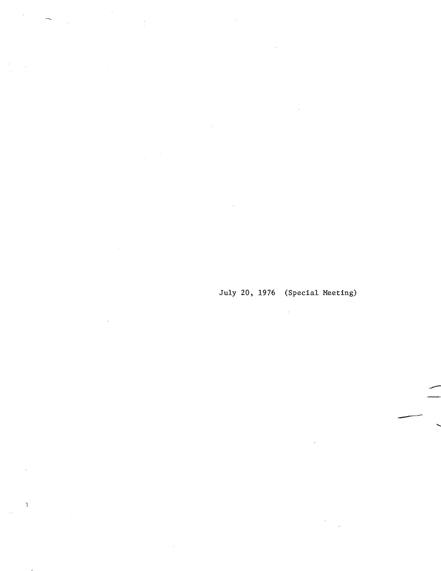July 20, 1976 (Special Meeting)

 $\bar{\gamma}$ 

J.

 $\frac{1}{\epsilon}$ 

 $\bar{\mathfrak{z}}$ 

à,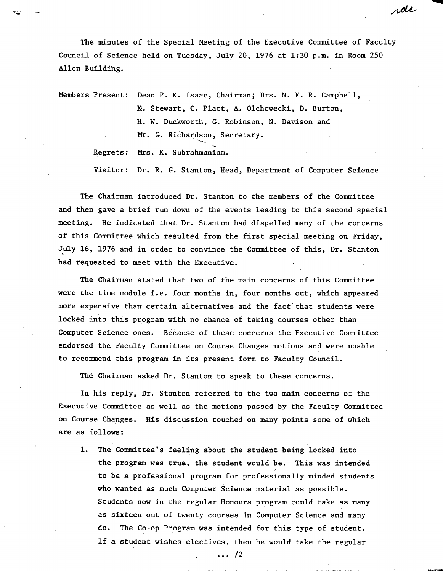The minutes of the Special Meeting of the Executive Committee of Faculty Council of Science held on Tuesday, July 20, 1976 at 1:30 p.m. in Room 250 Allen Building.

rde

Members Present: Dean P. K. Isaac, Chairman; Drs. N. E. R. Campbell, K. Stewart, C. Platt, A. Olchowecki, D. Burton, H. W. Duckworth, C. Robinson, N. Davison and Mr. G. Richardson, Secretary.

Regrets: Mrs. K. Subrahmaniam.

Visitor: Dr. R. G. Stanton, Head, Department of Computer Science

The Chairman introduced Dr. Stanton to the members of the Committee and then gave a brief run down of the events leading to this second special meeting. He indicated that Dr. Stanton had dispelled many of the concerns of this Committee which resulted from the first special meeting on Friday, July 16, 1976 and in order to convince the Committee of this, Dr. Stanton had requested to meet with the Executive.

The Chairman stated that two of the main concerns of this Committee were the time module i.e. four months in, four months out, which appeared more expensive than certain alternatives and the fact that students were locked into this program with no chance of taking courses other than Computer Science ones. Because of these concerns the Executive Committee endorsed the Faculty Committee on Course Changes motions and were unable to recommend this program in its present form to Faculty Council.

The. Chairman asked Dr. Stanton to speak to these concerns.

In his reply, Dr. Stanton referred to the two main concerns of the Executive Committee as well as the motions passed by the Faculty Committee on Course Changes. His discussion touched on many points some of which are as follows:

1. The Committee's feeling about the student being locked into the program was true, the student would be. This was intended to be a professional program for professionally minded students who wanted as much Computer Science material as possible. Students now in the regular Honours program could take as many as sixteen out of twenty courses in Computer Science and many do. The Co-op Program was intended for this type of student. If a student wishes electives, then he would take the regular

... /2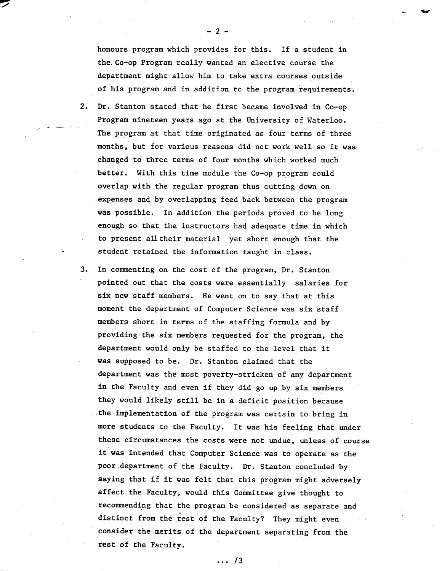honours program which provides for this. If a student in the. Co-op Program really wanted an elective course the department might allow him to take extra courses outside of his program and in addition to the program requirements.

- $2.$ Dr. Stanton stated that he first became involved in Co-op Program nineteen years ago at the University of Waterloo. The program at that time originated as four terms of three months, but for various reasons did not work well so it was changed to three terms of four months which worked much better. With this time module the Co-op program could overlap with the regular program thus cutting down on expenses and by overlapping feed back between the program was possible. In addition the periods proved to be long enough so that the instructors had adequate time in which to present all their material yet short enough that the student retained the information taught in class.
- 3. In commenting on the cost of the program, Dr. Stanton pointed Out that the costs were essentially salaries for six new staff members. He went on to say that at this moment the department of Computer Science was six staff members short in terms of the staffing formula and by providing the six members requested for the program, the department would only be staffed to the level that it was supposed to be. Dr. Stanton claimed that the department was the most poverty-stricken of any department in the Faculty and even if they did go up by six members they would likely still be in a deficit position because the implementation of the program was certain to bring in more students to the Faculty. It was his feeling that under these circumstances the costs were not undue, unless of course it was intended that Computer Science was to operate as the poor.department of the Faculty. Dr. Stanton concluded by saying that if it was felt that this program might adversely affect the Faculty, would this Committee give thought to recommending that the program be considered as separate and distinct from the rest of the Faculty? They might even consider the merits of the department separating from the rest of the Faculty.

 $\ldots$  /3

 $-2-$ 

フ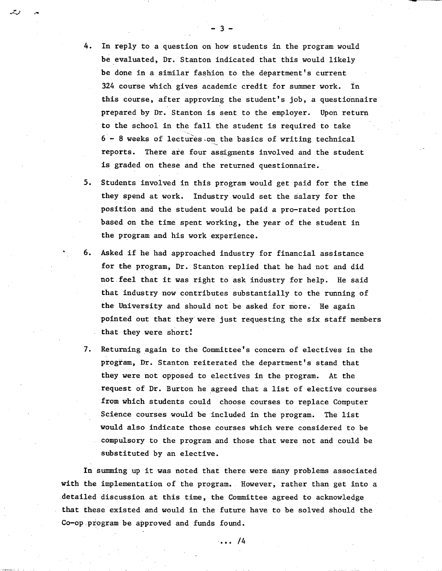- 4. In reply to a question on how students in the program would be evaluated, Dr. Stanton indicated that this would likely be done in a similar fashion to the department's current 324 course which gives academic credit for summer work. In this course, after approving the student's job, a questionnaire prepared by Dr. Stanton is sent to the employer. Upon return to the school in the fall the student is required to take  $6 - 8$  weeks of lectures on the basics of writing technical reports. There are four assigments involved and the student is graded on these and the returned questionnaire.
- 5. Students involved in this program would get paid for the time they spend at work. Industry would set the salary for the position and the student would be paid a pro-rated portion based on the time spent working, the year of the student in the program and his work experience.
- 6. Asked if he had approached industry for financial assistance for the program, Dr. Stanton replied that he had not and did not feel that it was right to ask industry for help. He said that industry now contributes substantially to the running of the University and should not be asked for more. He again pointed out that they were just requesting the six staff members that they were short!
- 7. Returning again to the Committee's concern of electives in the program, Dr. Stanton reiterated the department's stand that they were not opposed to electives in the program. At the request of Dr. Burton he agreed that a list of elective courses from which students could choose courses to replace Computer Science courses would be included in the program. The list would also indicate those courses which were considered to be compulsory to the program and those that were not and could be substituted by an elective.

In summing up it was noted that there were many problems associated with the implementation of the program. However, rather than get into a detailed discussion at this time, the Committee agreed to acknowledge that these existed and would in the future have to be solved should the Co-op program be approved and funds found.

...  $/4$